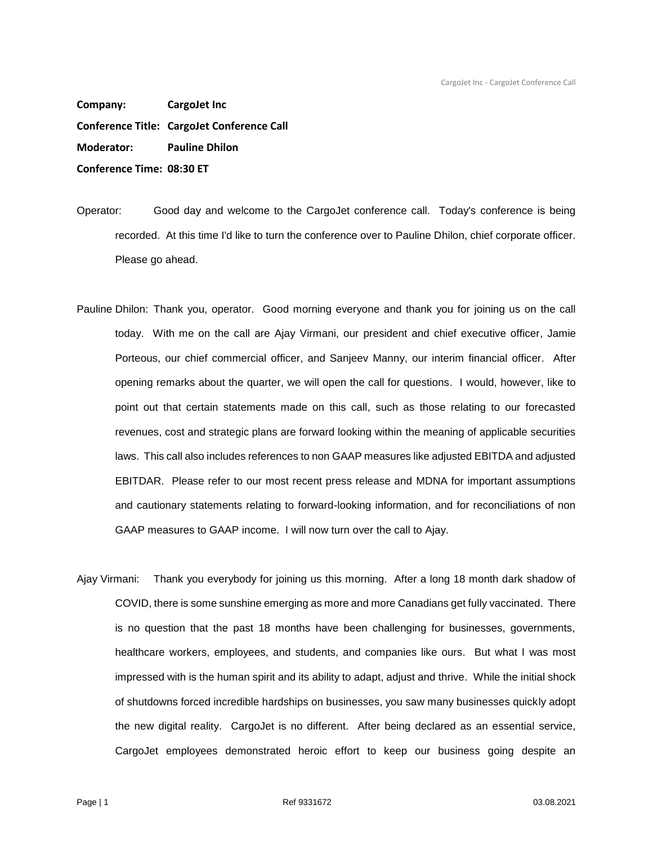**Company: CargoJet Inc Conference Title: CargoJet Conference Call Moderator: Pauline Dhilon Conference Time: 08:30 ET**

Operator: Good day and welcome to the CargoJet conference call. Today's conference is being recorded. At this time I'd like to turn the conference over to Pauline Dhilon, chief corporate officer. Please go ahead.

- Pauline Dhilon: Thank you, operator. Good morning everyone and thank you for joining us on the call today. With me on the call are Ajay Virmani, our president and chief executive officer, Jamie Porteous, our chief commercial officer, and Sanjeev Manny, our interim financial officer. After opening remarks about the quarter, we will open the call for questions. I would, however, like to point out that certain statements made on this call, such as those relating to our forecasted revenues, cost and strategic plans are forward looking within the meaning of applicable securities laws. This call also includes references to non GAAP measures like adjusted EBITDA and adjusted EBITDAR. Please refer to our most recent press release and MDNA for important assumptions and cautionary statements relating to forward-looking information, and for reconciliations of non GAAP measures to GAAP income. I will now turn over the call to Ajay.
- Ajay Virmani: Thank you everybody for joining us this morning. After a long 18 month dark shadow of COVID, there is some sunshine emerging as more and more Canadians get fully vaccinated. There is no question that the past 18 months have been challenging for businesses, governments, healthcare workers, employees, and students, and companies like ours. But what I was most impressed with is the human spirit and its ability to adapt, adjust and thrive. While the initial shock of shutdowns forced incredible hardships on businesses, you saw many businesses quickly adopt the new digital reality. CargoJet is no different. After being declared as an essential service, CargoJet employees demonstrated heroic effort to keep our business going despite an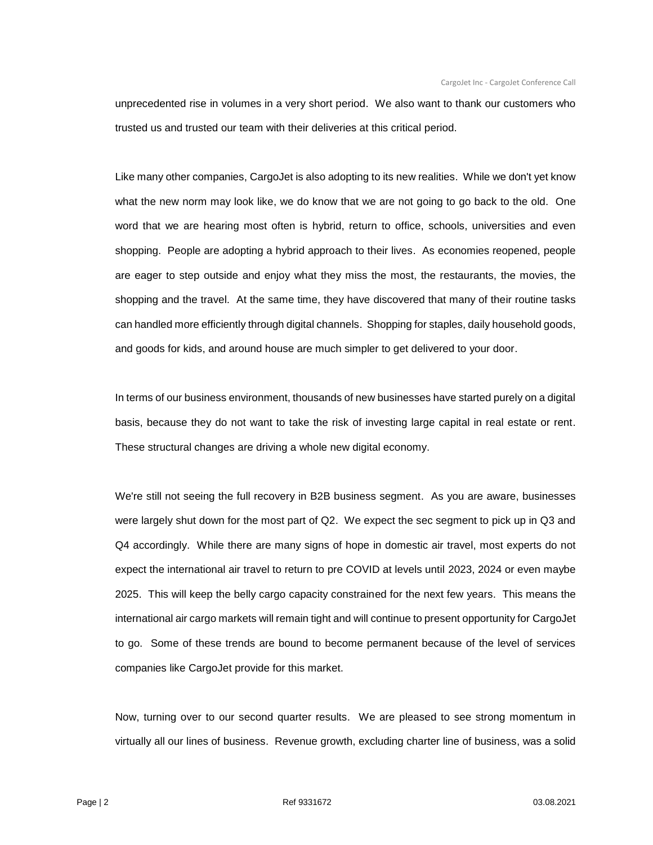unprecedented rise in volumes in a very short period. We also want to thank our customers who trusted us and trusted our team with their deliveries at this critical period.

Like many other companies, CargoJet is also adopting to its new realities. While we don't yet know what the new norm may look like, we do know that we are not going to go back to the old. One word that we are hearing most often is hybrid, return to office, schools, universities and even shopping. People are adopting a hybrid approach to their lives. As economies reopened, people are eager to step outside and enjoy what they miss the most, the restaurants, the movies, the shopping and the travel. At the same time, they have discovered that many of their routine tasks can handled more efficiently through digital channels. Shopping for staples, daily household goods, and goods for kids, and around house are much simpler to get delivered to your door.

In terms of our business environment, thousands of new businesses have started purely on a digital basis, because they do not want to take the risk of investing large capital in real estate or rent. These structural changes are driving a whole new digital economy.

We're still not seeing the full recovery in B2B business segment. As you are aware, businesses were largely shut down for the most part of Q2. We expect the sec segment to pick up in Q3 and Q4 accordingly. While there are many signs of hope in domestic air travel, most experts do not expect the international air travel to return to pre COVID at levels until 2023, 2024 or even maybe 2025. This will keep the belly cargo capacity constrained for the next few years. This means the international air cargo markets will remain tight and will continue to present opportunity for CargoJet to go. Some of these trends are bound to become permanent because of the level of services companies like CargoJet provide for this market.

Now, turning over to our second quarter results. We are pleased to see strong momentum in virtually all our lines of business. Revenue growth, excluding charter line of business, was a solid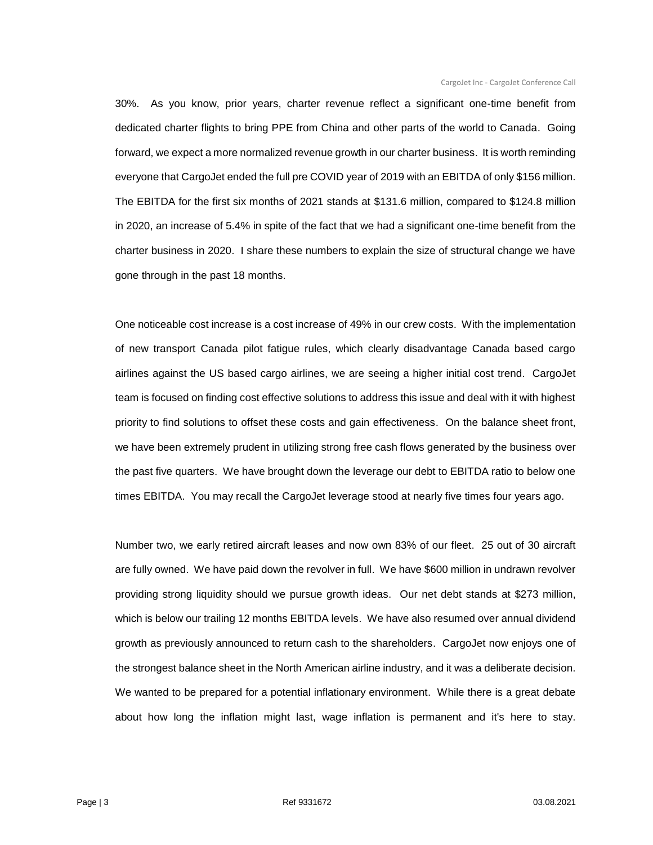30%. As you know, prior years, charter revenue reflect a significant one-time benefit from dedicated charter flights to bring PPE from China and other parts of the world to Canada. Going forward, we expect a more normalized revenue growth in our charter business. It is worth reminding everyone that CargoJet ended the full pre COVID year of 2019 with an EBITDA of only \$156 million. The EBITDA for the first six months of 2021 stands at \$131.6 million, compared to \$124.8 million in 2020, an increase of 5.4% in spite of the fact that we had a significant one-time benefit from the charter business in 2020. I share these numbers to explain the size of structural change we have gone through in the past 18 months.

One noticeable cost increase is a cost increase of 49% in our crew costs. With the implementation of new transport Canada pilot fatigue rules, which clearly disadvantage Canada based cargo airlines against the US based cargo airlines, we are seeing a higher initial cost trend. CargoJet team is focused on finding cost effective solutions to address this issue and deal with it with highest priority to find solutions to offset these costs and gain effectiveness. On the balance sheet front, we have been extremely prudent in utilizing strong free cash flows generated by the business over the past five quarters. We have brought down the leverage our debt to EBITDA ratio to below one times EBITDA. You may recall the CargoJet leverage stood at nearly five times four years ago.

Number two, we early retired aircraft leases and now own 83% of our fleet. 25 out of 30 aircraft are fully owned. We have paid down the revolver in full. We have \$600 million in undrawn revolver providing strong liquidity should we pursue growth ideas. Our net debt stands at \$273 million, which is below our trailing 12 months EBITDA levels. We have also resumed over annual dividend growth as previously announced to return cash to the shareholders. CargoJet now enjoys one of the strongest balance sheet in the North American airline industry, and it was a deliberate decision. We wanted to be prepared for a potential inflationary environment. While there is a great debate about how long the inflation might last, wage inflation is permanent and it's here to stay.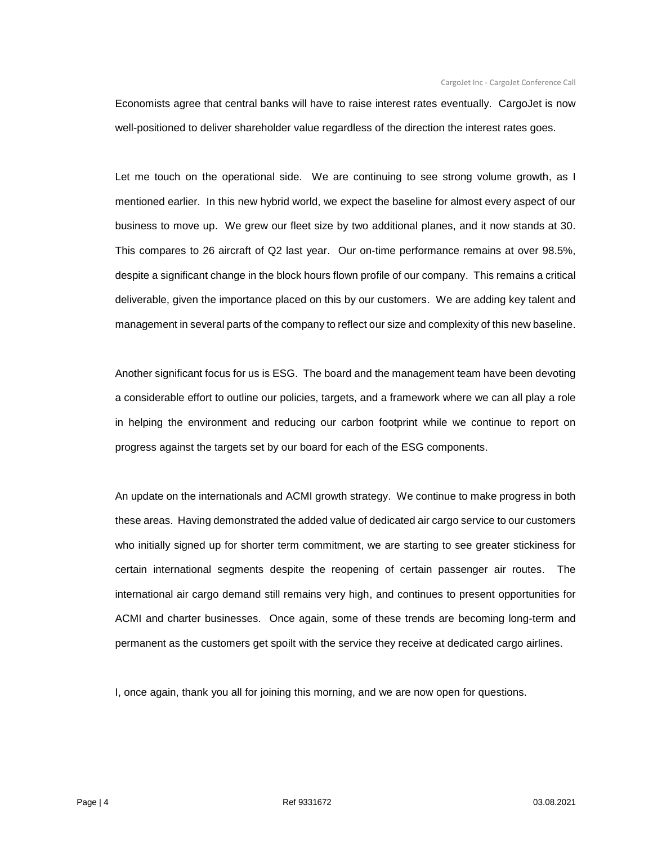Economists agree that central banks will have to raise interest rates eventually. CargoJet is now well-positioned to deliver shareholder value regardless of the direction the interest rates goes.

Let me touch on the operational side. We are continuing to see strong volume growth, as I mentioned earlier. In this new hybrid world, we expect the baseline for almost every aspect of our business to move up. We grew our fleet size by two additional planes, and it now stands at 30. This compares to 26 aircraft of Q2 last year. Our on-time performance remains at over 98.5%, despite a significant change in the block hours flown profile of our company. This remains a critical deliverable, given the importance placed on this by our customers. We are adding key talent and management in several parts of the company to reflect our size and complexity of this new baseline.

Another significant focus for us is ESG. The board and the management team have been devoting a considerable effort to outline our policies, targets, and a framework where we can all play a role in helping the environment and reducing our carbon footprint while we continue to report on progress against the targets set by our board for each of the ESG components.

An update on the internationals and ACMI growth strategy. We continue to make progress in both these areas. Having demonstrated the added value of dedicated air cargo service to our customers who initially signed up for shorter term commitment, we are starting to see greater stickiness for certain international segments despite the reopening of certain passenger air routes. The international air cargo demand still remains very high, and continues to present opportunities for ACMI and charter businesses. Once again, some of these trends are becoming long-term and permanent as the customers get spoilt with the service they receive at dedicated cargo airlines.

I, once again, thank you all for joining this morning, and we are now open for questions.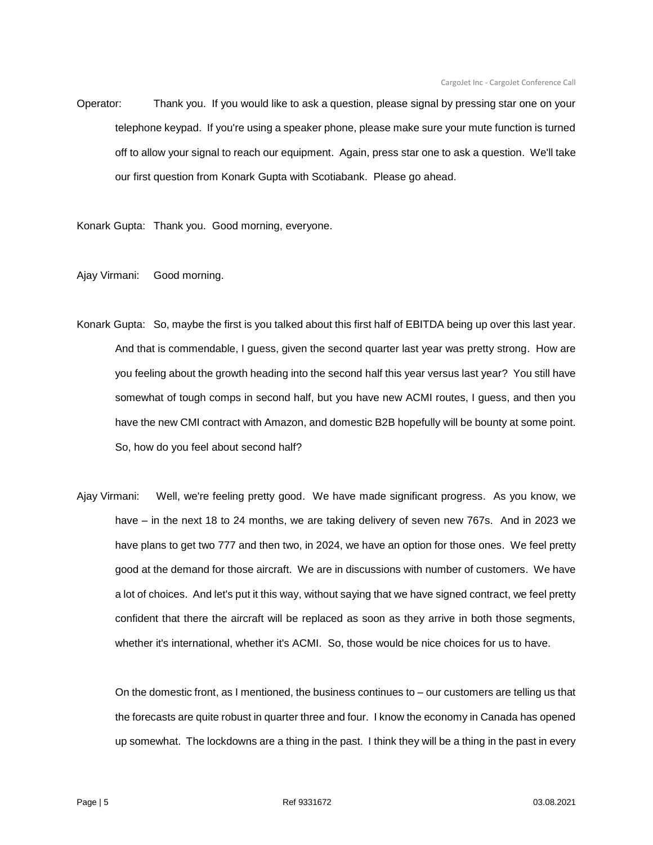Operator: Thank you. If you would like to ask a question, please signal by pressing star one on your telephone keypad. If you're using a speaker phone, please make sure your mute function is turned off to allow your signal to reach our equipment. Again, press star one to ask a question. We'll take our first question from Konark Gupta with Scotiabank. Please go ahead.

Konark Gupta: Thank you. Good morning, everyone.

Ajay Virmani: Good morning.

- Konark Gupta: So, maybe the first is you talked about this first half of EBITDA being up over this last year. And that is commendable, I guess, given the second quarter last year was pretty strong. How are you feeling about the growth heading into the second half this year versus last year? You still have somewhat of tough comps in second half, but you have new ACMI routes, I guess, and then you have the new CMI contract with Amazon, and domestic B2B hopefully will be bounty at some point. So, how do you feel about second half?
- Ajay Virmani: Well, we're feeling pretty good. We have made significant progress. As you know, we have – in the next 18 to 24 months, we are taking delivery of seven new 767s. And in 2023 we have plans to get two 777 and then two, in 2024, we have an option for those ones. We feel pretty good at the demand for those aircraft. We are in discussions with number of customers. We have a lot of choices. And let's put it this way, without saying that we have signed contract, we feel pretty confident that there the aircraft will be replaced as soon as they arrive in both those segments, whether it's international, whether it's ACMI. So, those would be nice choices for us to have.

On the domestic front, as I mentioned, the business continues to – our customers are telling us that the forecasts are quite robust in quarter three and four. I know the economy in Canada has opened up somewhat. The lockdowns are a thing in the past. I think they will be a thing in the past in every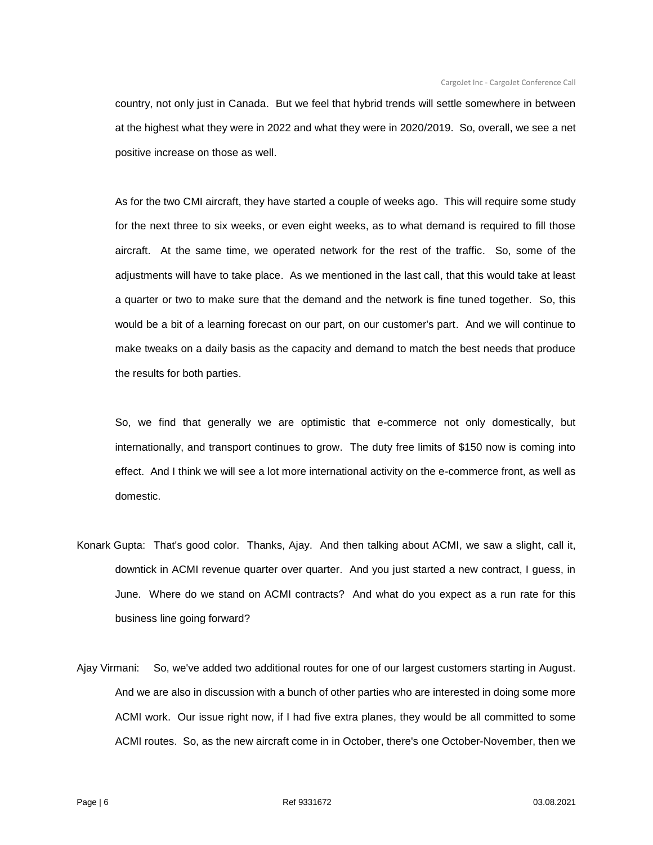country, not only just in Canada. But we feel that hybrid trends will settle somewhere in between at the highest what they were in 2022 and what they were in 2020/2019. So, overall, we see a net positive increase on those as well.

As for the two CMI aircraft, they have started a couple of weeks ago. This will require some study for the next three to six weeks, or even eight weeks, as to what demand is required to fill those aircraft. At the same time, we operated network for the rest of the traffic. So, some of the adjustments will have to take place. As we mentioned in the last call, that this would take at least a quarter or two to make sure that the demand and the network is fine tuned together. So, this would be a bit of a learning forecast on our part, on our customer's part. And we will continue to make tweaks on a daily basis as the capacity and demand to match the best needs that produce the results for both parties.

So, we find that generally we are optimistic that e-commerce not only domestically, but internationally, and transport continues to grow. The duty free limits of \$150 now is coming into effect. And I think we will see a lot more international activity on the e-commerce front, as well as domestic.

- Konark Gupta: That's good color. Thanks, Ajay. And then talking about ACMI, we saw a slight, call it, downtick in ACMI revenue quarter over quarter. And you just started a new contract, I guess, in June. Where do we stand on ACMI contracts? And what do you expect as a run rate for this business line going forward?
- Ajay Virmani: So, we've added two additional routes for one of our largest customers starting in August. And we are also in discussion with a bunch of other parties who are interested in doing some more ACMI work. Our issue right now, if I had five extra planes, they would be all committed to some ACMI routes. So, as the new aircraft come in in October, there's one October-November, then we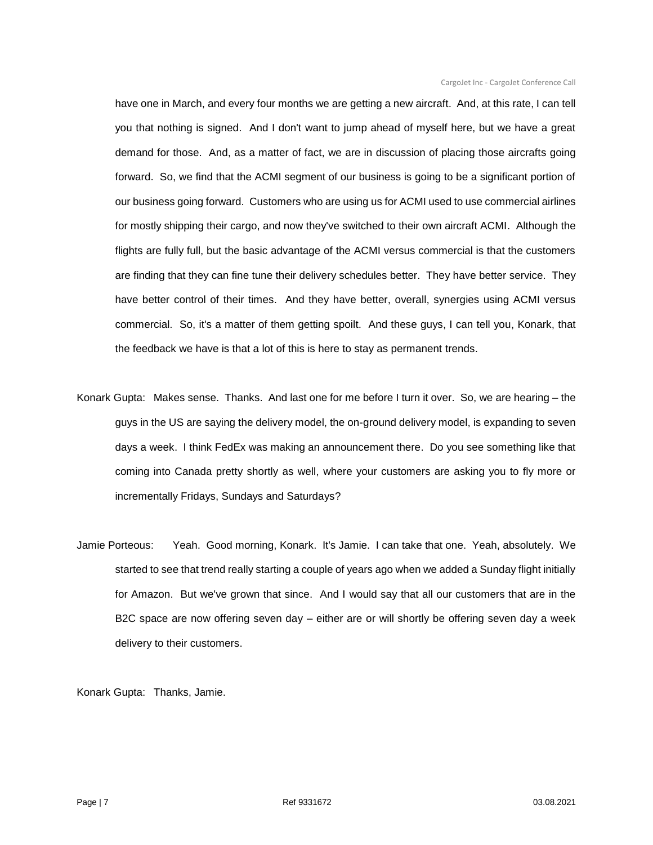have one in March, and every four months we are getting a new aircraft. And, at this rate, I can tell you that nothing is signed. And I don't want to jump ahead of myself here, but we have a great demand for those. And, as a matter of fact, we are in discussion of placing those aircrafts going forward. So, we find that the ACMI segment of our business is going to be a significant portion of our business going forward. Customers who are using us for ACMI used to use commercial airlines for mostly shipping their cargo, and now they've switched to their own aircraft ACMI. Although the flights are fully full, but the basic advantage of the ACMI versus commercial is that the customers are finding that they can fine tune their delivery schedules better. They have better service. They have better control of their times. And they have better, overall, synergies using ACMI versus commercial. So, it's a matter of them getting spoilt. And these guys, I can tell you, Konark, that the feedback we have is that a lot of this is here to stay as permanent trends.

- Konark Gupta: Makes sense. Thanks. And last one for me before I turn it over. So, we are hearing the guys in the US are saying the delivery model, the on-ground delivery model, is expanding to seven days a week. I think FedEx was making an announcement there. Do you see something like that coming into Canada pretty shortly as well, where your customers are asking you to fly more or incrementally Fridays, Sundays and Saturdays?
- Jamie Porteous: Yeah. Good morning, Konark. It's Jamie. I can take that one. Yeah, absolutely. We started to see that trend really starting a couple of years ago when we added a Sunday flight initially for Amazon. But we've grown that since. And I would say that all our customers that are in the B2C space are now offering seven day – either are or will shortly be offering seven day a week delivery to their customers.

Konark Gupta: Thanks, Jamie.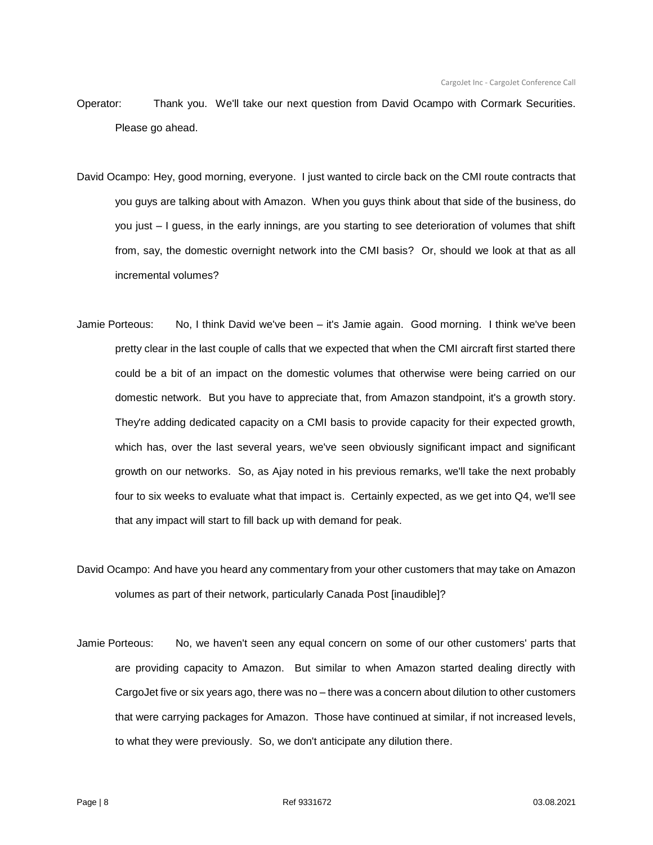- Operator: Thank you. We'll take our next question from David Ocampo with Cormark Securities. Please go ahead.
- David Ocampo: Hey, good morning, everyone. I just wanted to circle back on the CMI route contracts that you guys are talking about with Amazon. When you guys think about that side of the business, do you just – I guess, in the early innings, are you starting to see deterioration of volumes that shift from, say, the domestic overnight network into the CMI basis? Or, should we look at that as all incremental volumes?
- Jamie Porteous: No, I think David we've been it's Jamie again. Good morning. I think we've been pretty clear in the last couple of calls that we expected that when the CMI aircraft first started there could be a bit of an impact on the domestic volumes that otherwise were being carried on our domestic network. But you have to appreciate that, from Amazon standpoint, it's a growth story. They're adding dedicated capacity on a CMI basis to provide capacity for their expected growth, which has, over the last several years, we've seen obviously significant impact and significant growth on our networks. So, as Ajay noted in his previous remarks, we'll take the next probably four to six weeks to evaluate what that impact is. Certainly expected, as we get into Q4, we'll see that any impact will start to fill back up with demand for peak.
- David Ocampo: And have you heard any commentary from your other customers that may take on Amazon volumes as part of their network, particularly Canada Post [inaudible]?
- Jamie Porteous: No, we haven't seen any equal concern on some of our other customers' parts that are providing capacity to Amazon. But similar to when Amazon started dealing directly with CargoJet five or six years ago, there was no – there was a concern about dilution to other customers that were carrying packages for Amazon. Those have continued at similar, if not increased levels, to what they were previously. So, we don't anticipate any dilution there.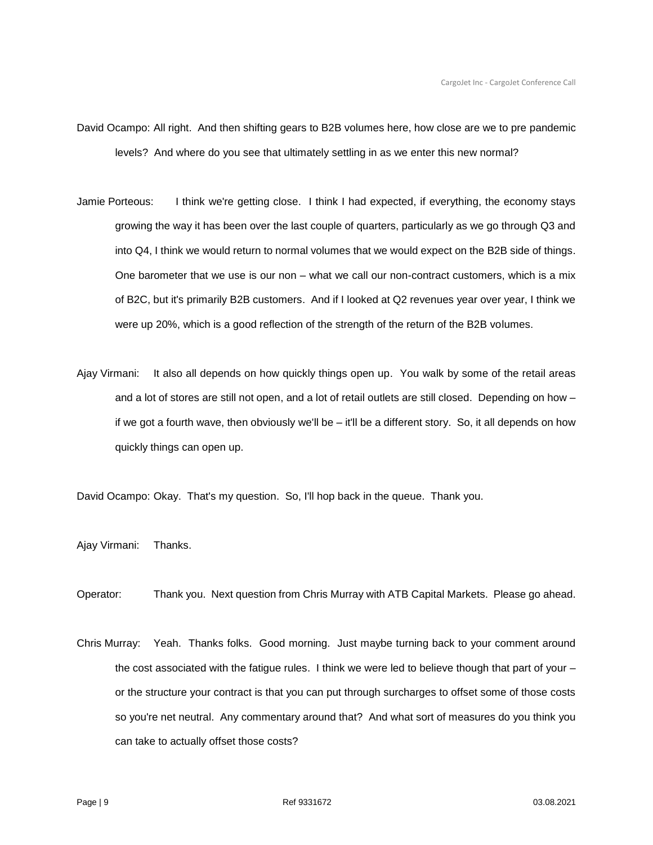- David Ocampo: All right. And then shifting gears to B2B volumes here, how close are we to pre pandemic levels? And where do you see that ultimately settling in as we enter this new normal?
- Jamie Porteous: I think we're getting close. I think I had expected, if everything, the economy stays growing the way it has been over the last couple of quarters, particularly as we go through Q3 and into Q4, I think we would return to normal volumes that we would expect on the B2B side of things. One barometer that we use is our non – what we call our non-contract customers, which is a mix of B2C, but it's primarily B2B customers. And if I looked at Q2 revenues year over year, I think we were up 20%, which is a good reflection of the strength of the return of the B2B volumes.
- Ajay Virmani: It also all depends on how quickly things open up. You walk by some of the retail areas and a lot of stores are still not open, and a lot of retail outlets are still closed. Depending on how – if we got a fourth wave, then obviously we'll be – it'll be a different story. So, it all depends on how quickly things can open up.

David Ocampo: Okay. That's my question. So, I'll hop back in the queue. Thank you.

Ajay Virmani: Thanks.

Operator: Thank you. Next question from Chris Murray with ATB Capital Markets. Please go ahead.

Chris Murray: Yeah. Thanks folks. Good morning. Just maybe turning back to your comment around the cost associated with the fatigue rules. I think we were led to believe though that part of your – or the structure your contract is that you can put through surcharges to offset some of those costs so you're net neutral. Any commentary around that? And what sort of measures do you think you can take to actually offset those costs?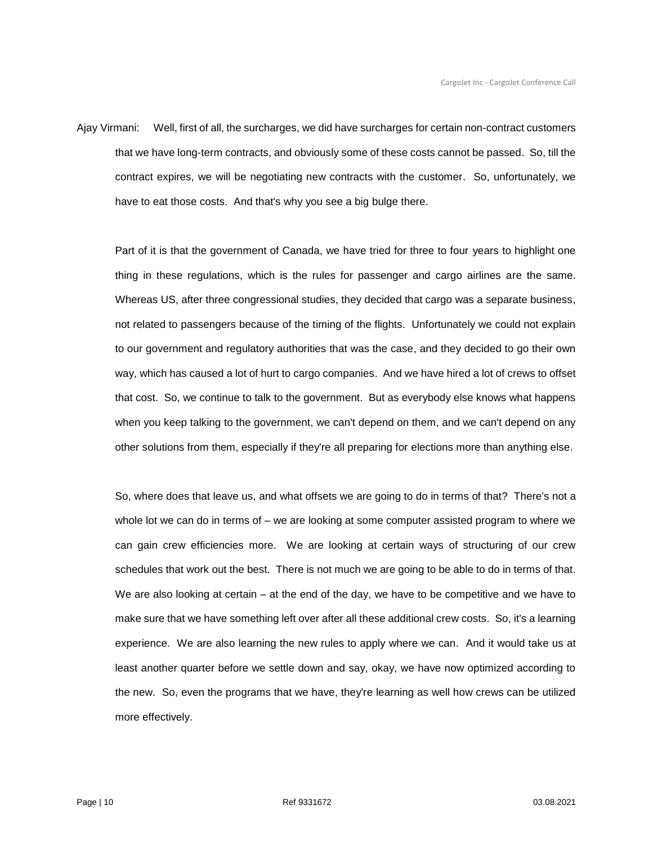Ajay Virmani: Well, first of all, the surcharges, we did have surcharges for certain non-contract customers that we have long-term contracts, and obviously some of these costs cannot be passed. So, till the contract expires, we will be negotiating new contracts with the customer. So, unfortunately, we have to eat those costs. And that's why you see a big bulge there.

Part of it is that the government of Canada, we have tried for three to four years to highlight one thing in these regulations, which is the rules for passenger and cargo airlines are the same. Whereas US, after three congressional studies, they decided that cargo was a separate business, not related to passengers because of the timing of the flights. Unfortunately we could not explain to our government and regulatory authorities that was the case, and they decided to go their own way, which has caused a lot of hurt to cargo companies. And we have hired a lot of crews to offset that cost. So, we continue to talk to the government. But as everybody else knows what happens when you keep talking to the government, we can't depend on them, and we can't depend on any other solutions from them, especially if they're all preparing for elections more than anything else.

So, where does that leave us, and what offsets we are going to do in terms of that? There's not a whole lot we can do in terms of – we are looking at some computer assisted program to where we can gain crew efficiencies more. We are looking at certain ways of structuring of our crew schedules that work out the best. There is not much we are going to be able to do in terms of that. We are also looking at certain – at the end of the day, we have to be competitive and we have to make sure that we have something left over after all these additional crew costs. So, it's a learning experience. We are also learning the new rules to apply where we can. And it would take us at least another quarter before we settle down and say, okay, we have now optimized according to the new. So, even the programs that we have, they're learning as well how crews can be utilized more effectively.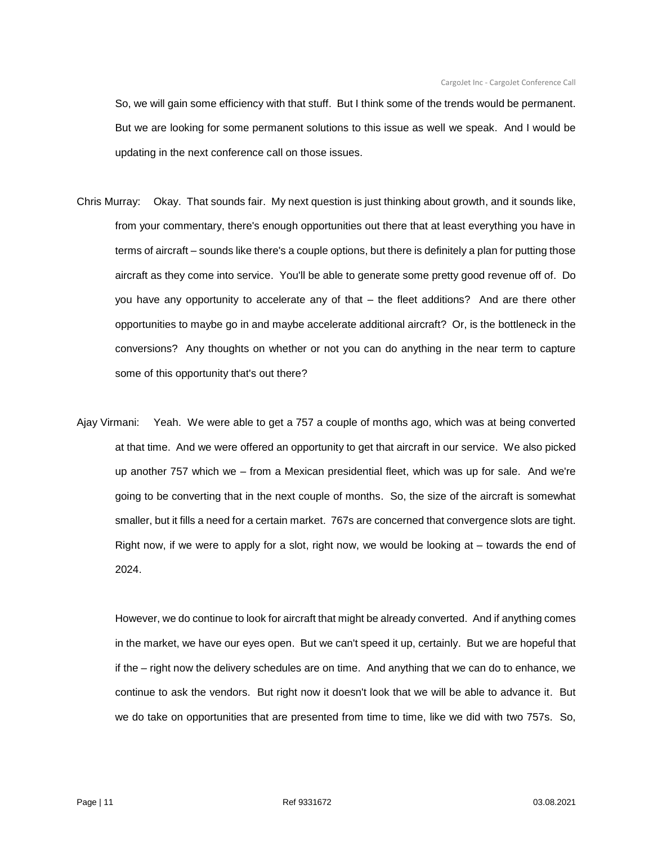So, we will gain some efficiency with that stuff. But I think some of the trends would be permanent. But we are looking for some permanent solutions to this issue as well we speak. And I would be updating in the next conference call on those issues.

- Chris Murray: Okay. That sounds fair. My next question is just thinking about growth, and it sounds like, from your commentary, there's enough opportunities out there that at least everything you have in terms of aircraft – sounds like there's a couple options, but there is definitely a plan for putting those aircraft as they come into service. You'll be able to generate some pretty good revenue off of. Do you have any opportunity to accelerate any of that – the fleet additions? And are there other opportunities to maybe go in and maybe accelerate additional aircraft? Or, is the bottleneck in the conversions? Any thoughts on whether or not you can do anything in the near term to capture some of this opportunity that's out there?
- Ajay Virmani: Yeah. We were able to get a 757 a couple of months ago, which was at being converted at that time. And we were offered an opportunity to get that aircraft in our service. We also picked up another 757 which we – from a Mexican presidential fleet, which was up for sale. And we're going to be converting that in the next couple of months. So, the size of the aircraft is somewhat smaller, but it fills a need for a certain market. 767s are concerned that convergence slots are tight. Right now, if we were to apply for a slot, right now, we would be looking at – towards the end of 2024.

However, we do continue to look for aircraft that might be already converted. And if anything comes in the market, we have our eyes open. But we can't speed it up, certainly. But we are hopeful that if the – right now the delivery schedules are on time. And anything that we can do to enhance, we continue to ask the vendors. But right now it doesn't look that we will be able to advance it. But we do take on opportunities that are presented from time to time, like we did with two 757s. So,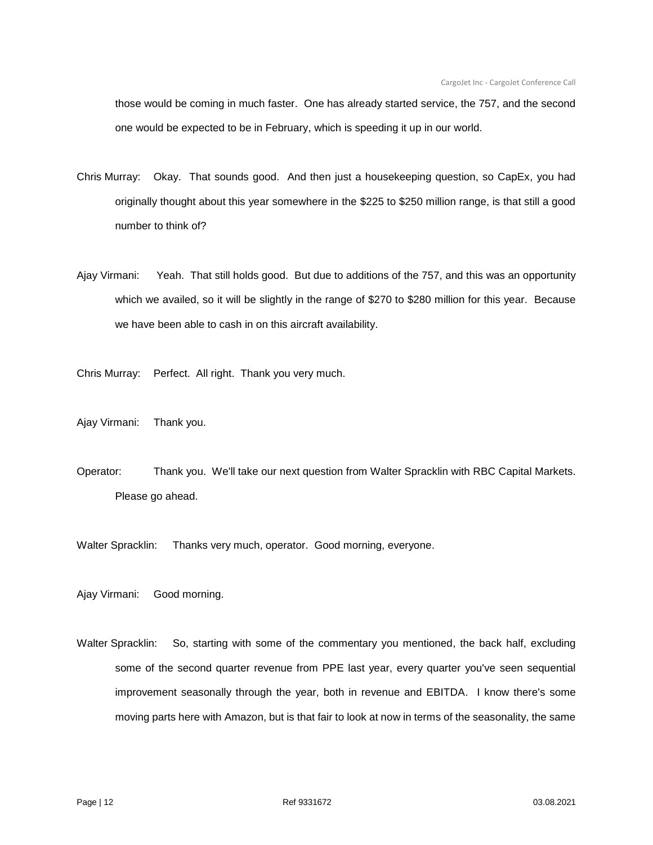those would be coming in much faster. One has already started service, the 757, and the second one would be expected to be in February, which is speeding it up in our world.

- Chris Murray: Okay. That sounds good. And then just a housekeeping question, so CapEx, you had originally thought about this year somewhere in the \$225 to \$250 million range, is that still a good number to think of?
- Ajay Virmani: Yeah. That still holds good. But due to additions of the 757, and this was an opportunity which we availed, so it will be slightly in the range of \$270 to \$280 million for this year. Because we have been able to cash in on this aircraft availability.

Chris Murray: Perfect. All right. Thank you very much.

- Ajay Virmani: Thank you.
- Operator: Thank you. We'll take our next question from Walter Spracklin with RBC Capital Markets. Please go ahead.

Walter Spracklin: Thanks very much, operator. Good morning, everyone.

Ajay Virmani: Good morning.

Walter Spracklin: So, starting with some of the commentary you mentioned, the back half, excluding some of the second quarter revenue from PPE last year, every quarter you've seen sequential improvement seasonally through the year, both in revenue and EBITDA. I know there's some moving parts here with Amazon, but is that fair to look at now in terms of the seasonality, the same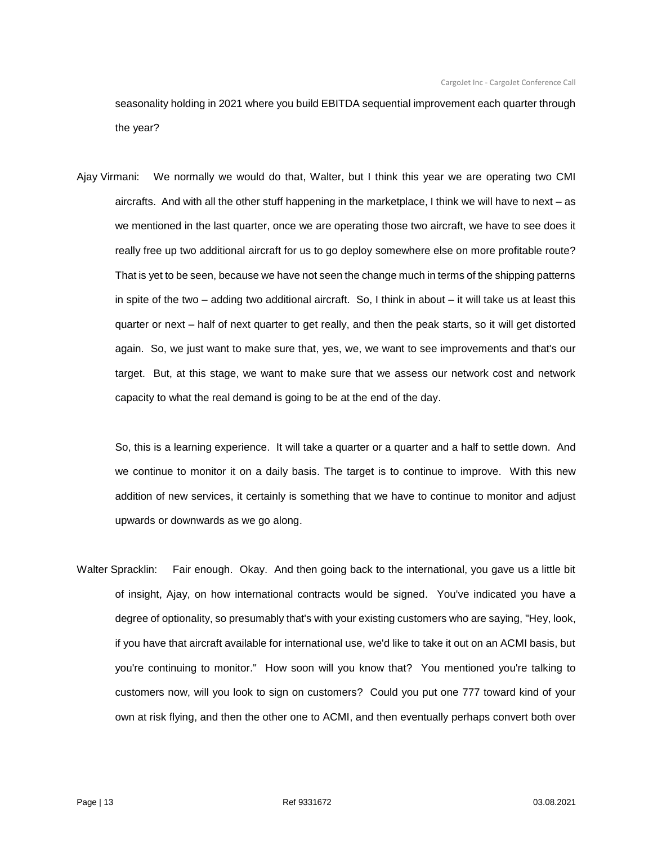seasonality holding in 2021 where you build EBITDA sequential improvement each quarter through the year?

Ajay Virmani: We normally we would do that, Walter, but I think this year we are operating two CMI aircrafts. And with all the other stuff happening in the marketplace, I think we will have to next – as we mentioned in the last quarter, once we are operating those two aircraft, we have to see does it really free up two additional aircraft for us to go deploy somewhere else on more profitable route? That is yet to be seen, because we have not seen the change much in terms of the shipping patterns in spite of the two – adding two additional aircraft. So, I think in about – it will take us at least this quarter or next – half of next quarter to get really, and then the peak starts, so it will get distorted again. So, we just want to make sure that, yes, we, we want to see improvements and that's our target. But, at this stage, we want to make sure that we assess our network cost and network capacity to what the real demand is going to be at the end of the day.

So, this is a learning experience. It will take a quarter or a quarter and a half to settle down. And we continue to monitor it on a daily basis. The target is to continue to improve. With this new addition of new services, it certainly is something that we have to continue to monitor and adjust upwards or downwards as we go along.

Walter Spracklin: Fair enough. Okay. And then going back to the international, you gave us a little bit of insight, Ajay, on how international contracts would be signed. You've indicated you have a degree of optionality, so presumably that's with your existing customers who are saying, "Hey, look, if you have that aircraft available for international use, we'd like to take it out on an ACMI basis, but you're continuing to monitor." How soon will you know that? You mentioned you're talking to customers now, will you look to sign on customers? Could you put one 777 toward kind of your own at risk flying, and then the other one to ACMI, and then eventually perhaps convert both over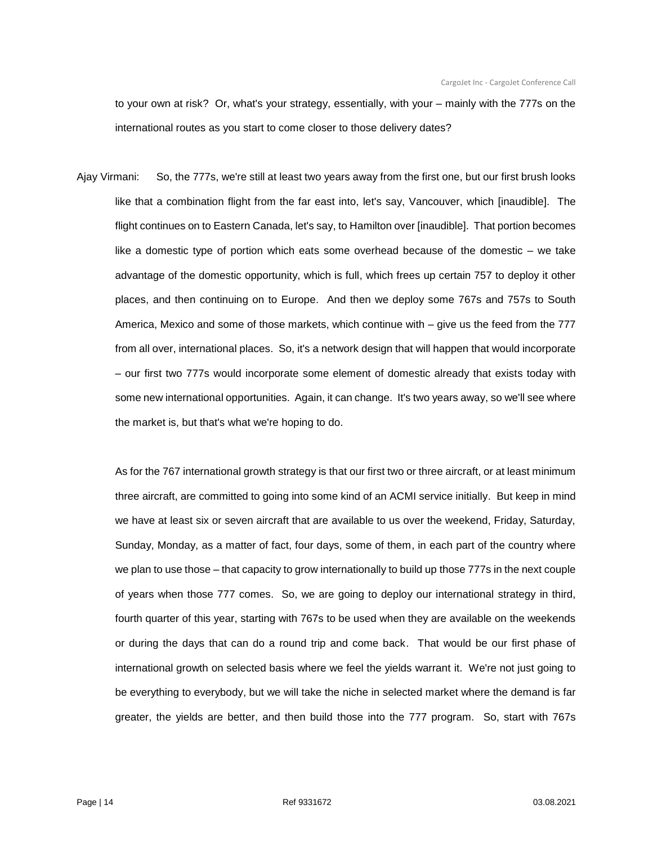to your own at risk? Or, what's your strategy, essentially, with your – mainly with the 777s on the international routes as you start to come closer to those delivery dates?

Ajay Virmani: So, the 777s, we're still at least two years away from the first one, but our first brush looks like that a combination flight from the far east into, let's say, Vancouver, which [inaudible]. The flight continues on to Eastern Canada, let's say, to Hamilton over [inaudible]. That portion becomes like a domestic type of portion which eats some overhead because of the domestic – we take advantage of the domestic opportunity, which is full, which frees up certain 757 to deploy it other places, and then continuing on to Europe. And then we deploy some 767s and 757s to South America, Mexico and some of those markets, which continue with – give us the feed from the 777 from all over, international places. So, it's a network design that will happen that would incorporate – our first two 777s would incorporate some element of domestic already that exists today with some new international opportunities. Again, it can change. It's two years away, so we'll see where the market is, but that's what we're hoping to do.

As for the 767 international growth strategy is that our first two or three aircraft, or at least minimum three aircraft, are committed to going into some kind of an ACMI service initially. But keep in mind we have at least six or seven aircraft that are available to us over the weekend, Friday, Saturday, Sunday, Monday, as a matter of fact, four days, some of them, in each part of the country where we plan to use those – that capacity to grow internationally to build up those 777s in the next couple of years when those 777 comes. So, we are going to deploy our international strategy in third, fourth quarter of this year, starting with 767s to be used when they are available on the weekends or during the days that can do a round trip and come back. That would be our first phase of international growth on selected basis where we feel the yields warrant it. We're not just going to be everything to everybody, but we will take the niche in selected market where the demand is far greater, the yields are better, and then build those into the 777 program. So, start with 767s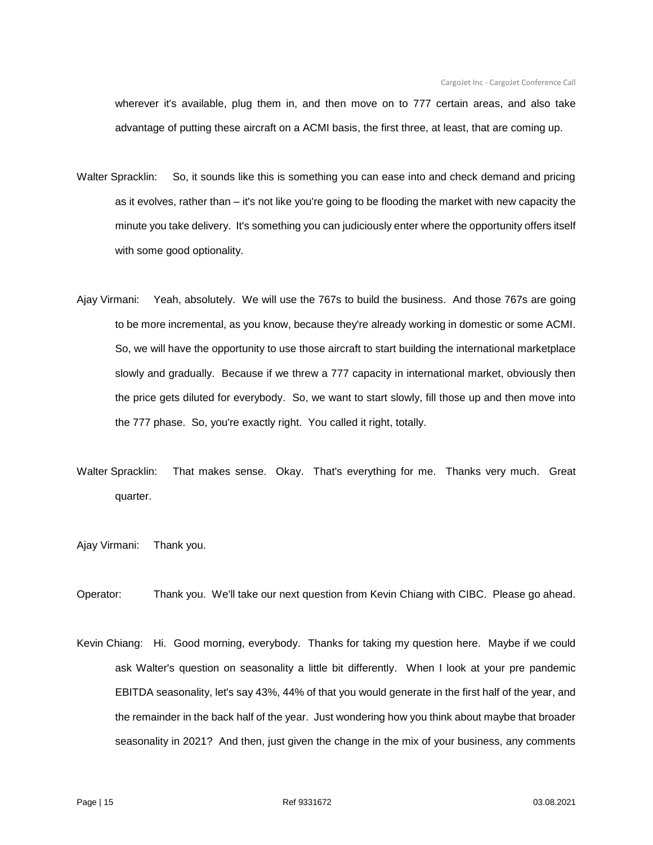wherever it's available, plug them in, and then move on to 777 certain areas, and also take advantage of putting these aircraft on a ACMI basis, the first three, at least, that are coming up.

- Walter Spracklin: So, it sounds like this is something you can ease into and check demand and pricing as it evolves, rather than – it's not like you're going to be flooding the market with new capacity the minute you take delivery. It's something you can judiciously enter where the opportunity offers itself with some good optionality.
- Ajay Virmani: Yeah, absolutely. We will use the 767s to build the business. And those 767s are going to be more incremental, as you know, because they're already working in domestic or some ACMI. So, we will have the opportunity to use those aircraft to start building the international marketplace slowly and gradually. Because if we threw a 777 capacity in international market, obviously then the price gets diluted for everybody. So, we want to start slowly, fill those up and then move into the 777 phase. So, you're exactly right. You called it right, totally.
- Walter Spracklin: That makes sense. Okay. That's everything for me. Thanks very much. Great quarter.
- Ajay Virmani: Thank you.
- Operator: Thank you. We'll take our next question from Kevin Chiang with CIBC. Please go ahead.
- Kevin Chiang: Hi. Good morning, everybody. Thanks for taking my question here. Maybe if we could ask Walter's question on seasonality a little bit differently. When I look at your pre pandemic EBITDA seasonality, let's say 43%, 44% of that you would generate in the first half of the year, and the remainder in the back half of the year. Just wondering how you think about maybe that broader seasonality in 2021? And then, just given the change in the mix of your business, any comments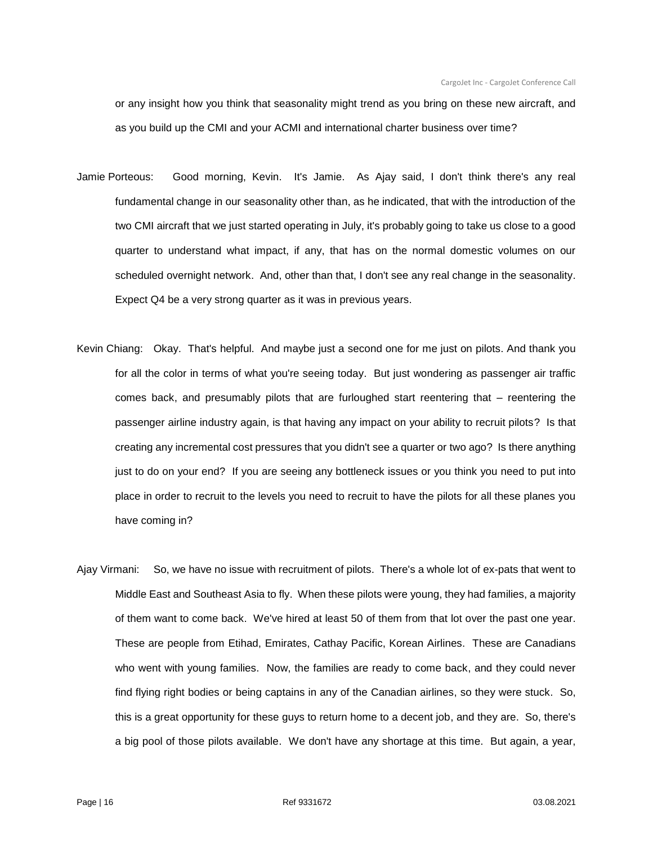or any insight how you think that seasonality might trend as you bring on these new aircraft, and as you build up the CMI and your ACMI and international charter business over time?

- Jamie Porteous: Good morning, Kevin. It's Jamie. As Ajay said, I don't think there's any real fundamental change in our seasonality other than, as he indicated, that with the introduction of the two CMI aircraft that we just started operating in July, it's probably going to take us close to a good quarter to understand what impact, if any, that has on the normal domestic volumes on our scheduled overnight network. And, other than that, I don't see any real change in the seasonality. Expect Q4 be a very strong quarter as it was in previous years.
- Kevin Chiang: Okay. That's helpful. And maybe just a second one for me just on pilots. And thank you for all the color in terms of what you're seeing today. But just wondering as passenger air traffic comes back, and presumably pilots that are furloughed start reentering that – reentering the passenger airline industry again, is that having any impact on your ability to recruit pilots? Is that creating any incremental cost pressures that you didn't see a quarter or two ago? Is there anything just to do on your end? If you are seeing any bottleneck issues or you think you need to put into place in order to recruit to the levels you need to recruit to have the pilots for all these planes you have coming in?
- Ajay Virmani: So, we have no issue with recruitment of pilots. There's a whole lot of ex-pats that went to Middle East and Southeast Asia to fly. When these pilots were young, they had families, a majority of them want to come back. We've hired at least 50 of them from that lot over the past one year. These are people from Etihad, Emirates, Cathay Pacific, Korean Airlines. These are Canadians who went with young families. Now, the families are ready to come back, and they could never find flying right bodies or being captains in any of the Canadian airlines, so they were stuck. So, this is a great opportunity for these guys to return home to a decent job, and they are. So, there's a big pool of those pilots available. We don't have any shortage at this time. But again, a year,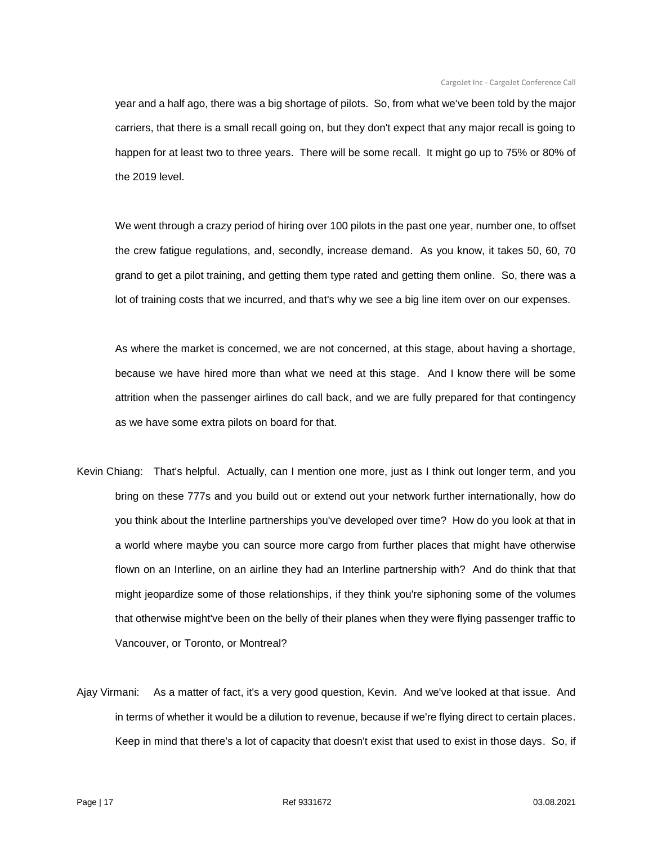year and a half ago, there was a big shortage of pilots. So, from what we've been told by the major carriers, that there is a small recall going on, but they don't expect that any major recall is going to happen for at least two to three years. There will be some recall. It might go up to 75% or 80% of the 2019 level.

We went through a crazy period of hiring over 100 pilots in the past one year, number one, to offset the crew fatigue regulations, and, secondly, increase demand. As you know, it takes 50, 60, 70 grand to get a pilot training, and getting them type rated and getting them online. So, there was a lot of training costs that we incurred, and that's why we see a big line item over on our expenses.

As where the market is concerned, we are not concerned, at this stage, about having a shortage, because we have hired more than what we need at this stage. And I know there will be some attrition when the passenger airlines do call back, and we are fully prepared for that contingency as we have some extra pilots on board for that.

- Kevin Chiang: That's helpful. Actually, can I mention one more, just as I think out longer term, and you bring on these 777s and you build out or extend out your network further internationally, how do you think about the Interline partnerships you've developed over time? How do you look at that in a world where maybe you can source more cargo from further places that might have otherwise flown on an Interline, on an airline they had an Interline partnership with? And do think that that might jeopardize some of those relationships, if they think you're siphoning some of the volumes that otherwise might've been on the belly of their planes when they were flying passenger traffic to Vancouver, or Toronto, or Montreal?
- Ajay Virmani: As a matter of fact, it's a very good question, Kevin. And we've looked at that issue. And in terms of whether it would be a dilution to revenue, because if we're flying direct to certain places. Keep in mind that there's a lot of capacity that doesn't exist that used to exist in those days. So, if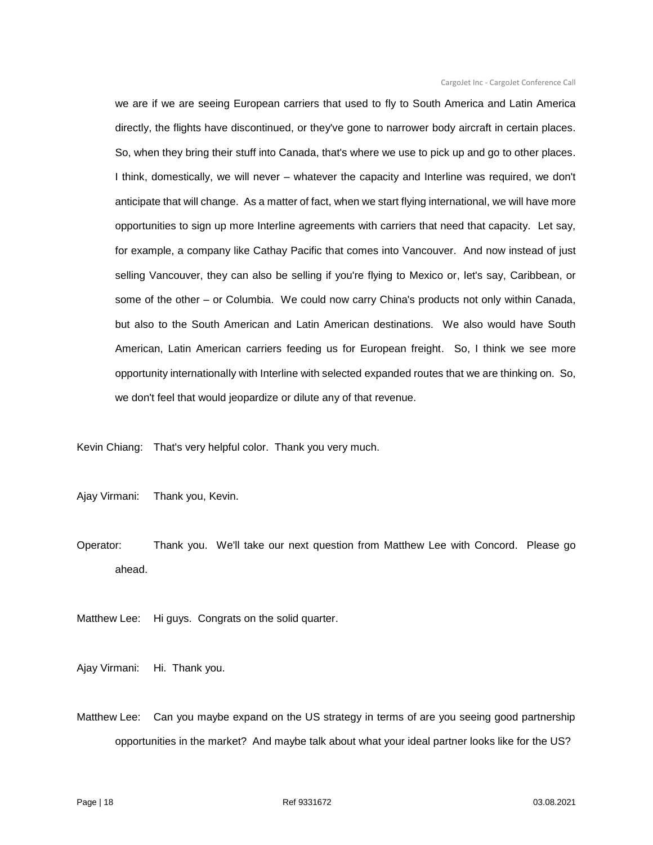we are if we are seeing European carriers that used to fly to South America and Latin America directly, the flights have discontinued, or they've gone to narrower body aircraft in certain places. So, when they bring their stuff into Canada, that's where we use to pick up and go to other places. I think, domestically, we will never – whatever the capacity and Interline was required, we don't anticipate that will change. As a matter of fact, when we start flying international, we will have more opportunities to sign up more Interline agreements with carriers that need that capacity. Let say, for example, a company like Cathay Pacific that comes into Vancouver. And now instead of just selling Vancouver, they can also be selling if you're flying to Mexico or, let's say, Caribbean, or some of the other – or Columbia. We could now carry China's products not only within Canada, but also to the South American and Latin American destinations. We also would have South American, Latin American carriers feeding us for European freight. So, I think we see more opportunity internationally with Interline with selected expanded routes that we are thinking on. So, we don't feel that would jeopardize or dilute any of that revenue.

Kevin Chiang: That's very helpful color. Thank you very much.

Ajay Virmani: Thank you, Kevin.

Operator: Thank you. We'll take our next question from Matthew Lee with Concord. Please go ahead.

Matthew Lee: Hi guys. Congrats on the solid quarter.

Ajay Virmani: Hi. Thank you.

Matthew Lee: Can you maybe expand on the US strategy in terms of are you seeing good partnership opportunities in the market? And maybe talk about what your ideal partner looks like for the US?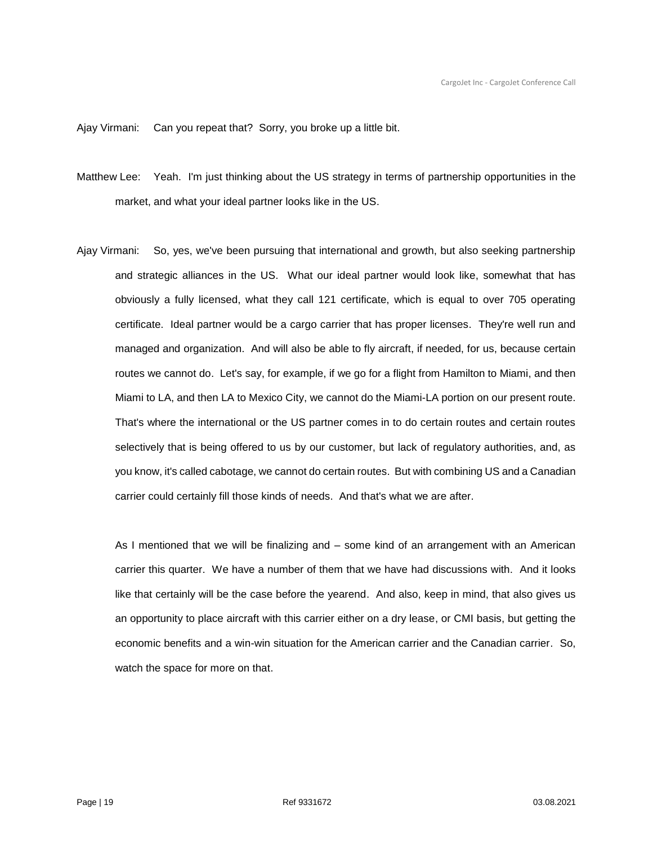Ajay Virmani: Can you repeat that? Sorry, you broke up a little bit.

- Matthew Lee: Yeah. I'm just thinking about the US strategy in terms of partnership opportunities in the market, and what your ideal partner looks like in the US.
- Ajay Virmani: So, yes, we've been pursuing that international and growth, but also seeking partnership and strategic alliances in the US. What our ideal partner would look like, somewhat that has obviously a fully licensed, what they call 121 certificate, which is equal to over 705 operating certificate. Ideal partner would be a cargo carrier that has proper licenses. They're well run and managed and organization. And will also be able to fly aircraft, if needed, for us, because certain routes we cannot do. Let's say, for example, if we go for a flight from Hamilton to Miami, and then Miami to LA, and then LA to Mexico City, we cannot do the Miami-LA portion on our present route. That's where the international or the US partner comes in to do certain routes and certain routes selectively that is being offered to us by our customer, but lack of regulatory authorities, and, as you know, it's called cabotage, we cannot do certain routes. But with combining US and a Canadian carrier could certainly fill those kinds of needs. And that's what we are after.

As I mentioned that we will be finalizing and – some kind of an arrangement with an American carrier this quarter. We have a number of them that we have had discussions with. And it looks like that certainly will be the case before the yearend. And also, keep in mind, that also gives us an opportunity to place aircraft with this carrier either on a dry lease, or CMI basis, but getting the economic benefits and a win-win situation for the American carrier and the Canadian carrier. So, watch the space for more on that.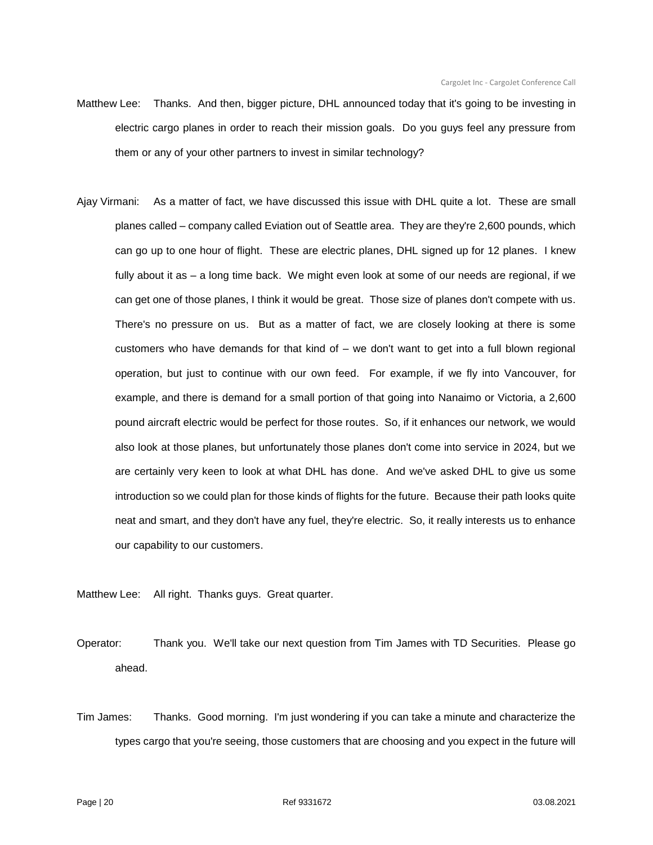- Matthew Lee: Thanks. And then, bigger picture, DHL announced today that it's going to be investing in electric cargo planes in order to reach their mission goals. Do you guys feel any pressure from them or any of your other partners to invest in similar technology?
- Ajay Virmani: As a matter of fact, we have discussed this issue with DHL quite a lot. These are small planes called – company called Eviation out of Seattle area. They are they're 2,600 pounds, which can go up to one hour of flight. These are electric planes, DHL signed up for 12 planes. I knew fully about it as – a long time back. We might even look at some of our needs are regional, if we can get one of those planes, I think it would be great. Those size of planes don't compete with us. There's no pressure on us. But as a matter of fact, we are closely looking at there is some customers who have demands for that kind of – we don't want to get into a full blown regional operation, but just to continue with our own feed. For example, if we fly into Vancouver, for example, and there is demand for a small portion of that going into Nanaimo or Victoria, a 2,600 pound aircraft electric would be perfect for those routes. So, if it enhances our network, we would also look at those planes, but unfortunately those planes don't come into service in 2024, but we are certainly very keen to look at what DHL has done. And we've asked DHL to give us some introduction so we could plan for those kinds of flights for the future. Because their path looks quite neat and smart, and they don't have any fuel, they're electric. So, it really interests us to enhance our capability to our customers.

Matthew Lee: All right. Thanks guys. Great quarter.

Operator: Thank you. We'll take our next question from Tim James with TD Securities. Please go ahead.

Tim James: Thanks. Good morning. I'm just wondering if you can take a minute and characterize the types cargo that you're seeing, those customers that are choosing and you expect in the future will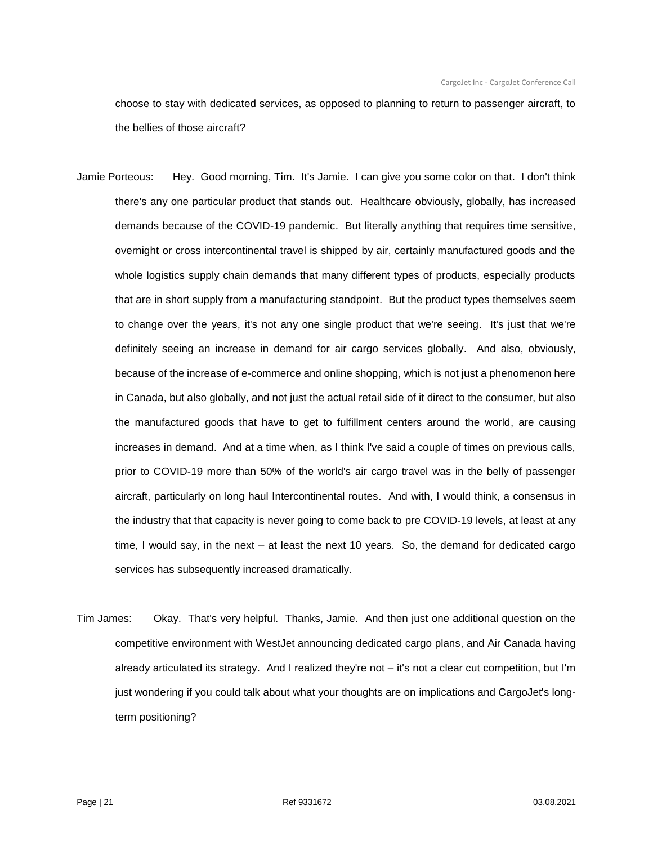choose to stay with dedicated services, as opposed to planning to return to passenger aircraft, to the bellies of those aircraft?

- Jamie Porteous: Hey. Good morning, Tim. It's Jamie. I can give you some color on that. I don't think there's any one particular product that stands out. Healthcare obviously, globally, has increased demands because of the COVID-19 pandemic. But literally anything that requires time sensitive, overnight or cross intercontinental travel is shipped by air, certainly manufactured goods and the whole logistics supply chain demands that many different types of products, especially products that are in short supply from a manufacturing standpoint. But the product types themselves seem to change over the years, it's not any one single product that we're seeing. It's just that we're definitely seeing an increase in demand for air cargo services globally. And also, obviously, because of the increase of e-commerce and online shopping, which is not just a phenomenon here in Canada, but also globally, and not just the actual retail side of it direct to the consumer, but also the manufactured goods that have to get to fulfillment centers around the world, are causing increases in demand. And at a time when, as I think I've said a couple of times on previous calls, prior to COVID-19 more than 50% of the world's air cargo travel was in the belly of passenger aircraft, particularly on long haul Intercontinental routes. And with, I would think, a consensus in the industry that that capacity is never going to come back to pre COVID-19 levels, at least at any time, I would say, in the next – at least the next 10 years. So, the demand for dedicated cargo services has subsequently increased dramatically.
- Tim James: Okay. That's very helpful. Thanks, Jamie. And then just one additional question on the competitive environment with WestJet announcing dedicated cargo plans, and Air Canada having already articulated its strategy. And I realized they're not – it's not a clear cut competition, but I'm just wondering if you could talk about what your thoughts are on implications and CargoJet's longterm positioning?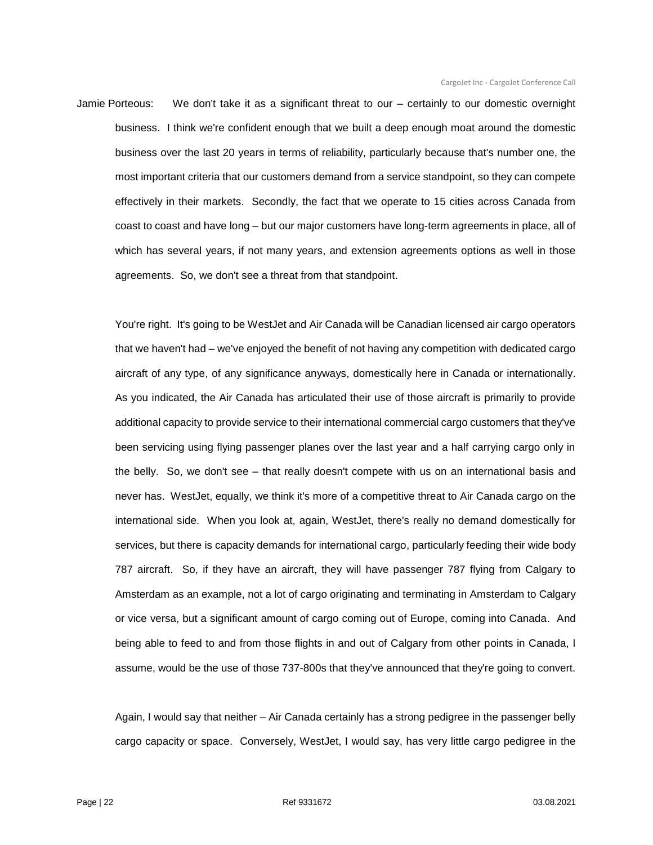Jamie Porteous: We don't take it as a significant threat to our – certainly to our domestic overnight business. I think we're confident enough that we built a deep enough moat around the domestic business over the last 20 years in terms of reliability, particularly because that's number one, the most important criteria that our customers demand from a service standpoint, so they can compete effectively in their markets. Secondly, the fact that we operate to 15 cities across Canada from coast to coast and have long – but our major customers have long-term agreements in place, all of which has several years, if not many years, and extension agreements options as well in those agreements. So, we don't see a threat from that standpoint.

You're right. It's going to be WestJet and Air Canada will be Canadian licensed air cargo operators that we haven't had – we've enjoyed the benefit of not having any competition with dedicated cargo aircraft of any type, of any significance anyways, domestically here in Canada or internationally. As you indicated, the Air Canada has articulated their use of those aircraft is primarily to provide additional capacity to provide service to their international commercial cargo customers that they've been servicing using flying passenger planes over the last year and a half carrying cargo only in the belly. So, we don't see – that really doesn't compete with us on an international basis and never has. WestJet, equally, we think it's more of a competitive threat to Air Canada cargo on the international side. When you look at, again, WestJet, there's really no demand domestically for services, but there is capacity demands for international cargo, particularly feeding their wide body 787 aircraft. So, if they have an aircraft, they will have passenger 787 flying from Calgary to Amsterdam as an example, not a lot of cargo originating and terminating in Amsterdam to Calgary or vice versa, but a significant amount of cargo coming out of Europe, coming into Canada. And being able to feed to and from those flights in and out of Calgary from other points in Canada, I assume, would be the use of those 737-800s that they've announced that they're going to convert.

Again, I would say that neither – Air Canada certainly has a strong pedigree in the passenger belly cargo capacity or space. Conversely, WestJet, I would say, has very little cargo pedigree in the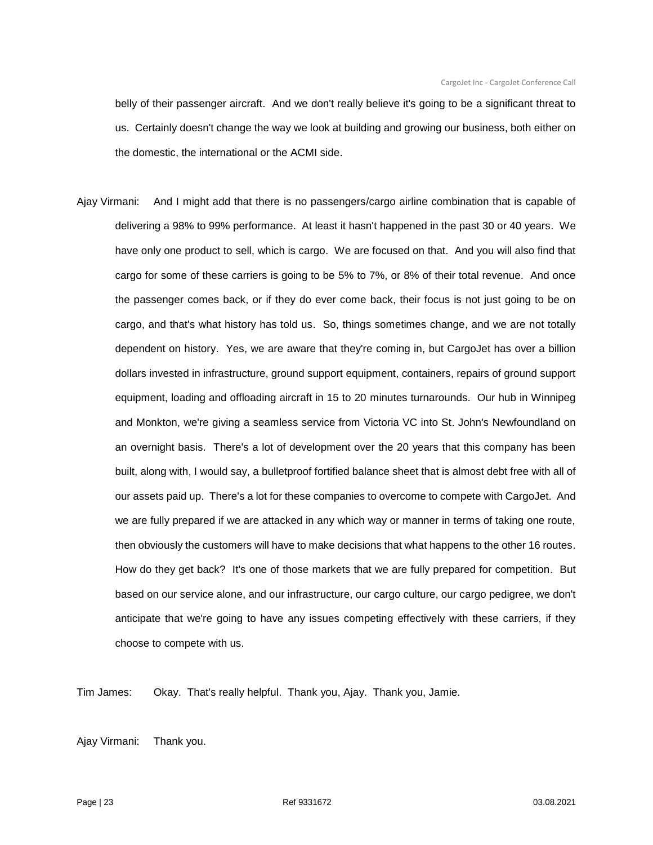belly of their passenger aircraft. And we don't really believe it's going to be a significant threat to us. Certainly doesn't change the way we look at building and growing our business, both either on the domestic, the international or the ACMI side.

Ajay Virmani: And I might add that there is no passengers/cargo airline combination that is capable of delivering a 98% to 99% performance. At least it hasn't happened in the past 30 or 40 years. We have only one product to sell, which is cargo. We are focused on that. And you will also find that cargo for some of these carriers is going to be 5% to 7%, or 8% of their total revenue. And once the passenger comes back, or if they do ever come back, their focus is not just going to be on cargo, and that's what history has told us. So, things sometimes change, and we are not totally dependent on history. Yes, we are aware that they're coming in, but CargoJet has over a billion dollars invested in infrastructure, ground support equipment, containers, repairs of ground support equipment, loading and offloading aircraft in 15 to 20 minutes turnarounds. Our hub in Winnipeg and Monkton, we're giving a seamless service from Victoria VC into St. John's Newfoundland on an overnight basis. There's a lot of development over the 20 years that this company has been built, along with, I would say, a bulletproof fortified balance sheet that is almost debt free with all of our assets paid up. There's a lot for these companies to overcome to compete with CargoJet. And we are fully prepared if we are attacked in any which way or manner in terms of taking one route, then obviously the customers will have to make decisions that what happens to the other 16 routes. How do they get back? It's one of those markets that we are fully prepared for competition. But based on our service alone, and our infrastructure, our cargo culture, our cargo pedigree, we don't anticipate that we're going to have any issues competing effectively with these carriers, if they choose to compete with us.

Tim James: Okay. That's really helpful. Thank you, Ajay. Thank you, Jamie.

Ajay Virmani: Thank you.

Page | 23 Ref 9331672 03.08.2021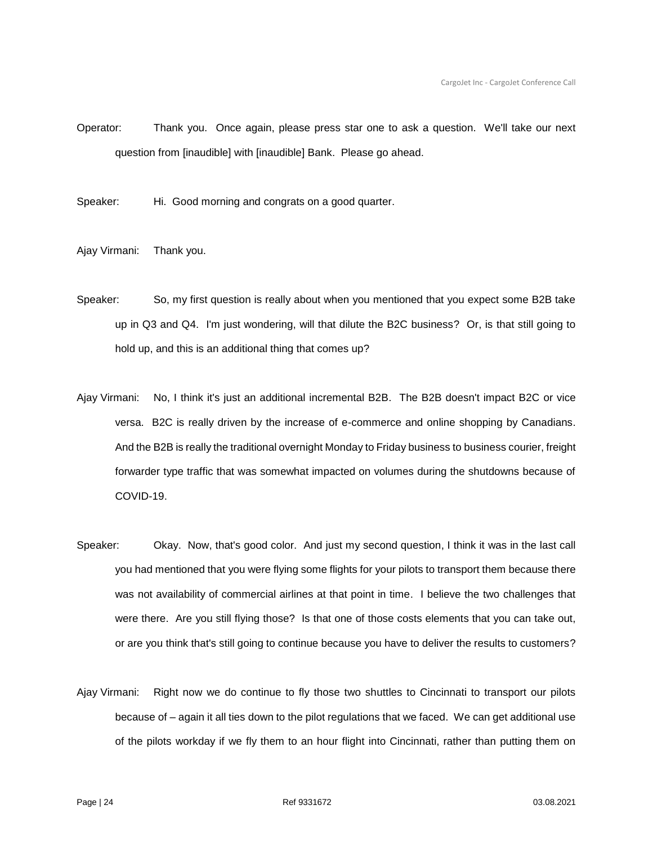Operator: Thank you. Once again, please press star one to ask a question. We'll take our next question from [inaudible] with [inaudible] Bank. Please go ahead.

Speaker: Hi. Good morning and congrats on a good quarter.

Ajay Virmani: Thank you.

- Speaker: So, my first question is really about when you mentioned that you expect some B2B take up in Q3 and Q4. I'm just wondering, will that dilute the B2C business? Or, is that still going to hold up, and this is an additional thing that comes up?
- Ajay Virmani: No, I think it's just an additional incremental B2B. The B2B doesn't impact B2C or vice versa. B2C is really driven by the increase of e-commerce and online shopping by Canadians. And the B2B is really the traditional overnight Monday to Friday business to business courier, freight forwarder type traffic that was somewhat impacted on volumes during the shutdowns because of COVID-19.
- Speaker: Okay. Now, that's good color. And just my second question, I think it was in the last call you had mentioned that you were flying some flights for your pilots to transport them because there was not availability of commercial airlines at that point in time. I believe the two challenges that were there. Are you still flying those? Is that one of those costs elements that you can take out, or are you think that's still going to continue because you have to deliver the results to customers?
- Ajay Virmani: Right now we do continue to fly those two shuttles to Cincinnati to transport our pilots because of – again it all ties down to the pilot regulations that we faced. We can get additional use of the pilots workday if we fly them to an hour flight into Cincinnati, rather than putting them on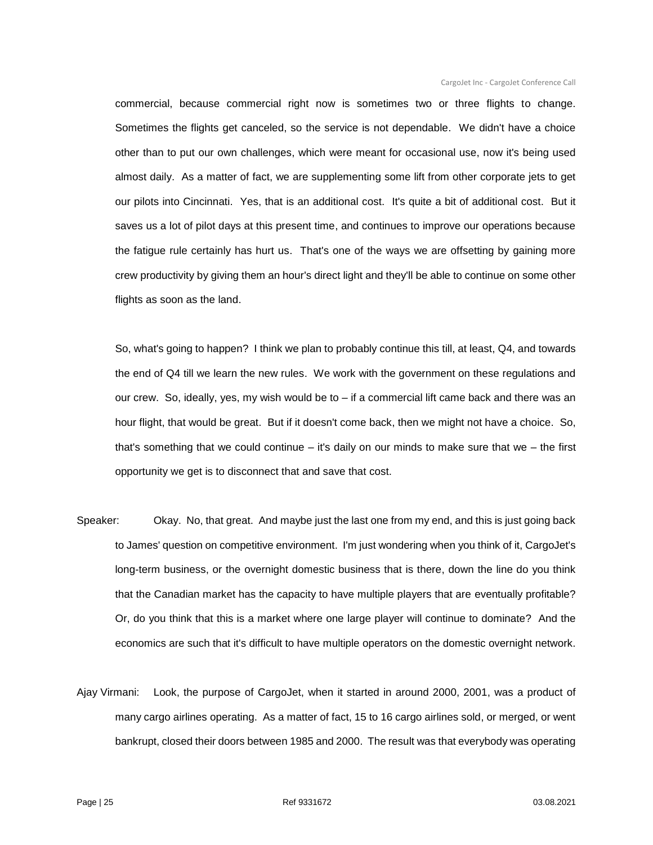commercial, because commercial right now is sometimes two or three flights to change. Sometimes the flights get canceled, so the service is not dependable. We didn't have a choice other than to put our own challenges, which were meant for occasional use, now it's being used almost daily. As a matter of fact, we are supplementing some lift from other corporate jets to get our pilots into Cincinnati. Yes, that is an additional cost. It's quite a bit of additional cost. But it saves us a lot of pilot days at this present time, and continues to improve our operations because the fatigue rule certainly has hurt us. That's one of the ways we are offsetting by gaining more crew productivity by giving them an hour's direct light and they'll be able to continue on some other flights as soon as the land.

So, what's going to happen? I think we plan to probably continue this till, at least, Q4, and towards the end of Q4 till we learn the new rules. We work with the government on these regulations and our crew. So, ideally, yes, my wish would be to – if a commercial lift came back and there was an hour flight, that would be great. But if it doesn't come back, then we might not have a choice. So, that's something that we could continue – it's daily on our minds to make sure that we – the first opportunity we get is to disconnect that and save that cost.

- Speaker: Okay. No, that great. And maybe just the last one from my end, and this is just going back to James' question on competitive environment. I'm just wondering when you think of it, CargoJet's long-term business, or the overnight domestic business that is there, down the line do you think that the Canadian market has the capacity to have multiple players that are eventually profitable? Or, do you think that this is a market where one large player will continue to dominate? And the economics are such that it's difficult to have multiple operators on the domestic overnight network.
- Ajay Virmani: Look, the purpose of CargoJet, when it started in around 2000, 2001, was a product of many cargo airlines operating. As a matter of fact, 15 to 16 cargo airlines sold, or merged, or went bankrupt, closed their doors between 1985 and 2000. The result was that everybody was operating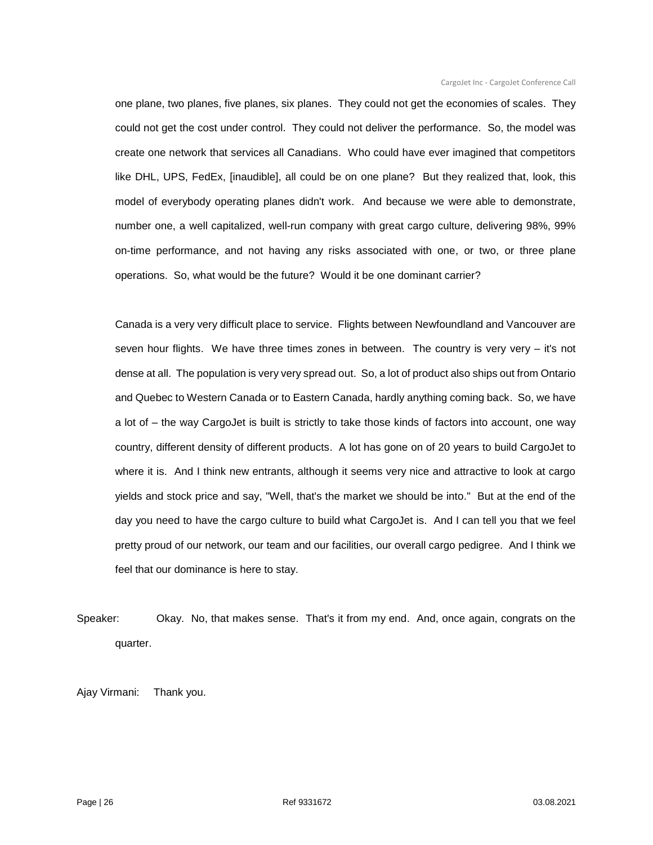one plane, two planes, five planes, six planes. They could not get the economies of scales. They could not get the cost under control. They could not deliver the performance. So, the model was create one network that services all Canadians. Who could have ever imagined that competitors like DHL, UPS, FedEx, [inaudible], all could be on one plane? But they realized that, look, this model of everybody operating planes didn't work. And because we were able to demonstrate, number one, a well capitalized, well-run company with great cargo culture, delivering 98%, 99% on-time performance, and not having any risks associated with one, or two, or three plane operations. So, what would be the future? Would it be one dominant carrier?

Canada is a very very difficult place to service. Flights between Newfoundland and Vancouver are seven hour flights. We have three times zones in between. The country is very very – it's not dense at all. The population is very very spread out. So, a lot of product also ships out from Ontario and Quebec to Western Canada or to Eastern Canada, hardly anything coming back. So, we have a lot of – the way CargoJet is built is strictly to take those kinds of factors into account, one way country, different density of different products. A lot has gone on of 20 years to build CargoJet to where it is. And I think new entrants, although it seems very nice and attractive to look at cargo yields and stock price and say, "Well, that's the market we should be into." But at the end of the day you need to have the cargo culture to build what CargoJet is. And I can tell you that we feel pretty proud of our network, our team and our facilities, our overall cargo pedigree. And I think we feel that our dominance is here to stay.

Speaker: Okay. No, that makes sense. That's it from my end. And, once again, congrats on the quarter.

Ajay Virmani: Thank you.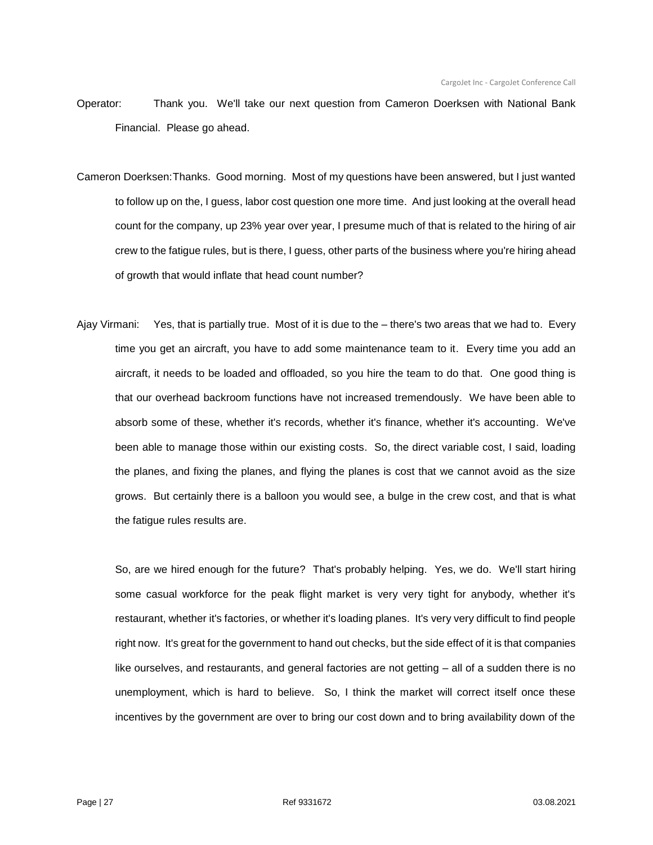- Operator: Thank you. We'll take our next question from Cameron Doerksen with National Bank Financial. Please go ahead.
- Cameron Doerksen:Thanks. Good morning. Most of my questions have been answered, but I just wanted to follow up on the, I guess, labor cost question one more time. And just looking at the overall head count for the company, up 23% year over year, I presume much of that is related to the hiring of air crew to the fatigue rules, but is there, I guess, other parts of the business where you're hiring ahead of growth that would inflate that head count number?
- Ajay Virmani: Yes, that is partially true. Most of it is due to the there's two areas that we had to. Every time you get an aircraft, you have to add some maintenance team to it. Every time you add an aircraft, it needs to be loaded and offloaded, so you hire the team to do that. One good thing is that our overhead backroom functions have not increased tremendously. We have been able to absorb some of these, whether it's records, whether it's finance, whether it's accounting. We've been able to manage those within our existing costs. So, the direct variable cost, I said, loading the planes, and fixing the planes, and flying the planes is cost that we cannot avoid as the size grows. But certainly there is a balloon you would see, a bulge in the crew cost, and that is what the fatigue rules results are.

So, are we hired enough for the future? That's probably helping. Yes, we do. We'll start hiring some casual workforce for the peak flight market is very very tight for anybody, whether it's restaurant, whether it's factories, or whether it's loading planes. It's very very difficult to find people right now. It's great for the government to hand out checks, but the side effect of it is that companies like ourselves, and restaurants, and general factories are not getting – all of a sudden there is no unemployment, which is hard to believe. So, I think the market will correct itself once these incentives by the government are over to bring our cost down and to bring availability down of the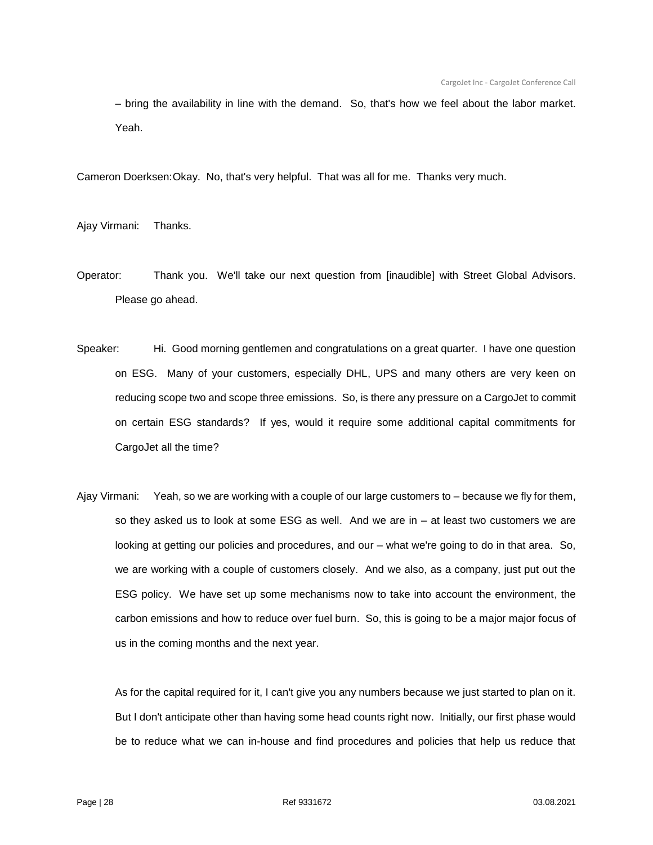– bring the availability in line with the demand. So, that's how we feel about the labor market. Yeah.

Cameron Doerksen:Okay. No, that's very helpful. That was all for me. Thanks very much.

Ajay Virmani: Thanks.

- Operator: Thank you. We'll take our next question from [inaudible] with Street Global Advisors. Please go ahead.
- Speaker: Hi. Good morning gentlemen and congratulations on a great quarter. I have one question on ESG. Many of your customers, especially DHL, UPS and many others are very keen on reducing scope two and scope three emissions. So, is there any pressure on a CargoJet to commit on certain ESG standards? If yes, would it require some additional capital commitments for CargoJet all the time?
- Ajay Virmani: Yeah, so we are working with a couple of our large customers to because we fly for them, so they asked us to look at some ESG as well. And we are in – at least two customers we are looking at getting our policies and procedures, and our – what we're going to do in that area. So, we are working with a couple of customers closely. And we also, as a company, just put out the ESG policy. We have set up some mechanisms now to take into account the environment, the carbon emissions and how to reduce over fuel burn. So, this is going to be a major major focus of us in the coming months and the next year.

As for the capital required for it, I can't give you any numbers because we just started to plan on it. But I don't anticipate other than having some head counts right now. Initially, our first phase would be to reduce what we can in-house and find procedures and policies that help us reduce that